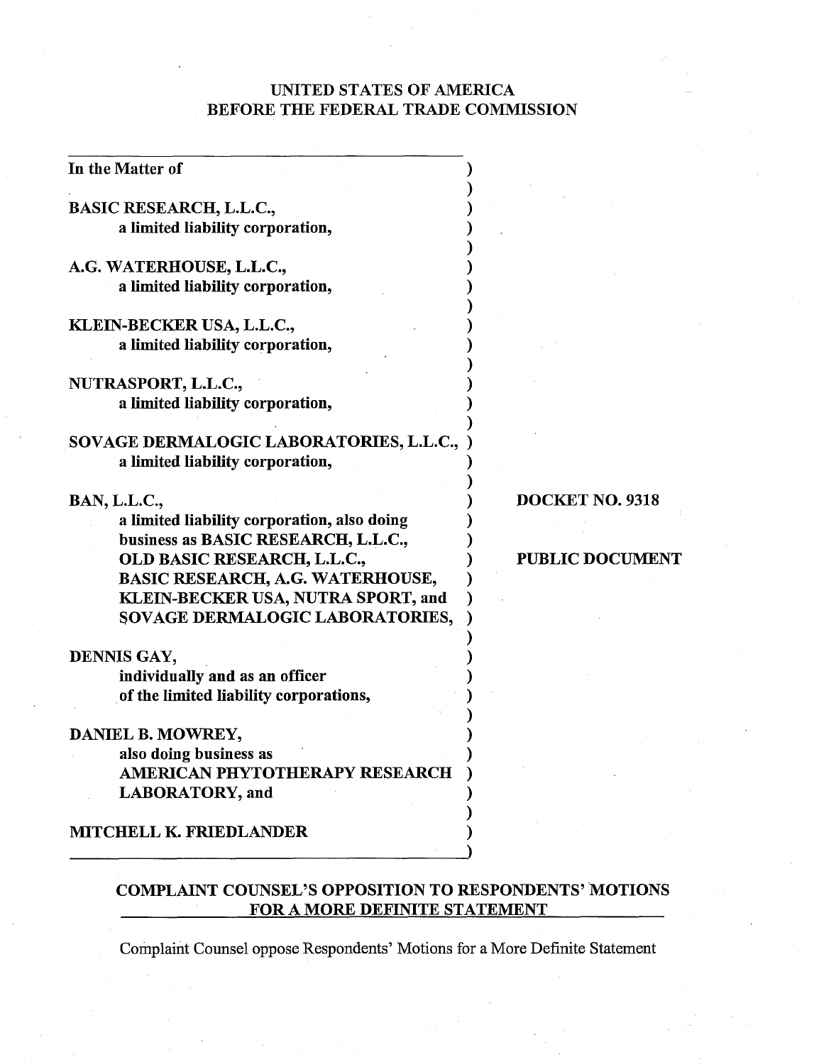# UNITED STATES OF AMERICA BEFORE THE FEDERAL TRADE COMMISSION

| In the Matter of                            |                        |
|---------------------------------------------|------------------------|
| <b>BASIC RESEARCH, L.L.C.,</b>              |                        |
| a limited liability corporation,            |                        |
|                                             |                        |
| A.G. WATERHOUSE, L.L.C.,                    |                        |
| a limited liability corporation,            |                        |
|                                             |                        |
| KLEIN-BECKER USA, L.L.C.,                   |                        |
| a limited liability corporation,            |                        |
| NUTRASPORT, L.L.C.,                         |                        |
| a limited liability corporation,            |                        |
|                                             |                        |
| SOVAGE DERMALOGIC LABORATORIES, L.L.C.,     |                        |
| a limited liability corporation,            |                        |
|                                             |                        |
| BAN, L.L.C.,                                | DOCKET NO. 9318        |
| a limited liability corporation, also doing |                        |
| business as BASIC RESEARCH, L.L.C.,         |                        |
| OLD BASIC RESEARCH, L.L.C.,                 | <b>PUBLIC DOCUMENT</b> |
| <b>BASIC RESEARCH, A.G. WATERHOUSE,</b>     |                        |
| KLEIN-BECKER USA, NUTRA SPORT, and          |                        |
| SOVAGE DERMALOGIC LABORATORIES,             |                        |
| DENNIS GAY,                                 |                        |
| individually and as an officer              |                        |
| of the limited liability corporations,      |                        |
|                                             |                        |
| DANIEL B. MOWREY,                           |                        |
| also doing business as                      |                        |
| AMERICAN PHYTOTHERAPY RESEARCH              |                        |
| <b>LABORATORY</b> , and                     |                        |
| MITCHELL K. FRIEDLANDER                     |                        |
|                                             |                        |
|                                             |                        |

# COMPLAINT COUNSEL'S OPPOSITION TO RESPONDENTS' MOTIONS FOR A MORE DEFINITE STATEMENT

Complaint Counsel oppose Respondents' Motions for a More Definite Statement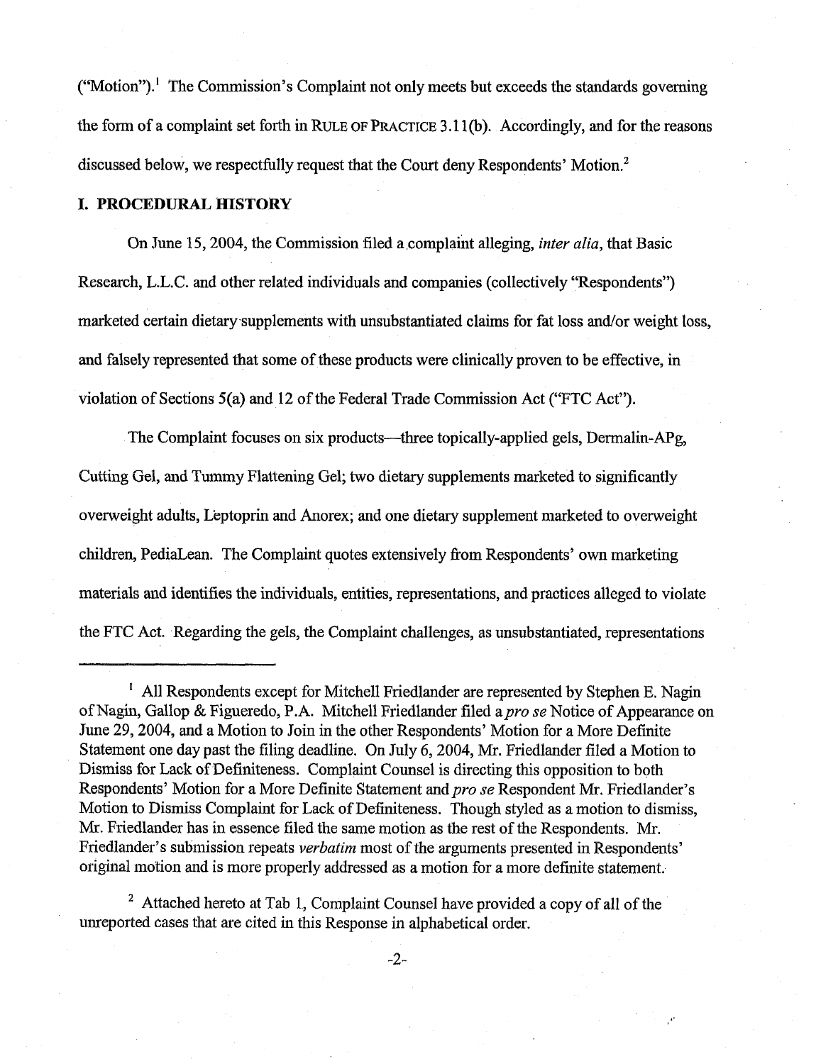$("Motion").$ <sup>1</sup> The Commission's Complaint not only meets but exceeds the standards governing the form of a complaint set forth in RULE OF PRACTICE 3.11(b). Accordingly, and for the reasons discussed below, we respectfully request that the Court deny Respondents' Motion.'

### **I. PROCEDURAL HISTORY**

On June 15, 2004, the Commission filed a complaint alleging, *inter alia*, that Basic Research, L.L.C. and other related individuals and companies (collectively "Respondents") marketed certain dietary supplements with unsubstantiated claims for fat loss and/or weight loss, and falsely represented that some of these products were clinically proven to be effective, in violation of Sections 5(a) and 12 of the Federal Trade Commission Act ("FTC Act").

The Complaint focuses on six products—three topically-applied gels, Dermalin-APg, Cutting Gel, and Tummy Flattening Gel; two dietary supplements marketed to significantly overweight adults, L'eptoprin and Anorex; and one dietary supplement marketed to overweight children, PediaLean. The Complaint quotes extensively from Respondents' own marketing materials and identifies the individuals, entities, representations, and practices alleged to violate the FTC Act. Regarding the gels, the Complaint challenges, as unsubstantiated, representations

<sup>&</sup>lt;sup>1</sup> All Respondents except for Mitchell Friedlander are represented by Stephen E. Nagin of Nagin, Gallop & Figueredo, P.A. Mitchell Friedlander filed apro **se** Notice of Appearance on June 29,2004, and a Motion to Join in the other Respondents' Motion for a More Definite Statement one day past the filing deadline. On July 6,2004, Mr. Friedlander filed a Motion to Dismiss for Lack of Definiteness. Complaint Counsel is directing this opposition to both Respondents' Motion for a More Definite Statement and pro se Respondent Mr. Friedlander's Motion to Dismiss Complaint for Lack of Definiteness. Though styled as a motion to dismiss, Mr. Friedlander has in essence filed the same motion as the rest of the Respondents. Mr. Friedlander's submission repeats *verbatim* most of the arguments presented in Respondents' original motion and is more properly addressed as a motion for a more definite statement.

Attached hereto at Tab 1, Complaint Counsel have provided a copy of all of the unreporled cases that are cited in this Response in alphabetical order.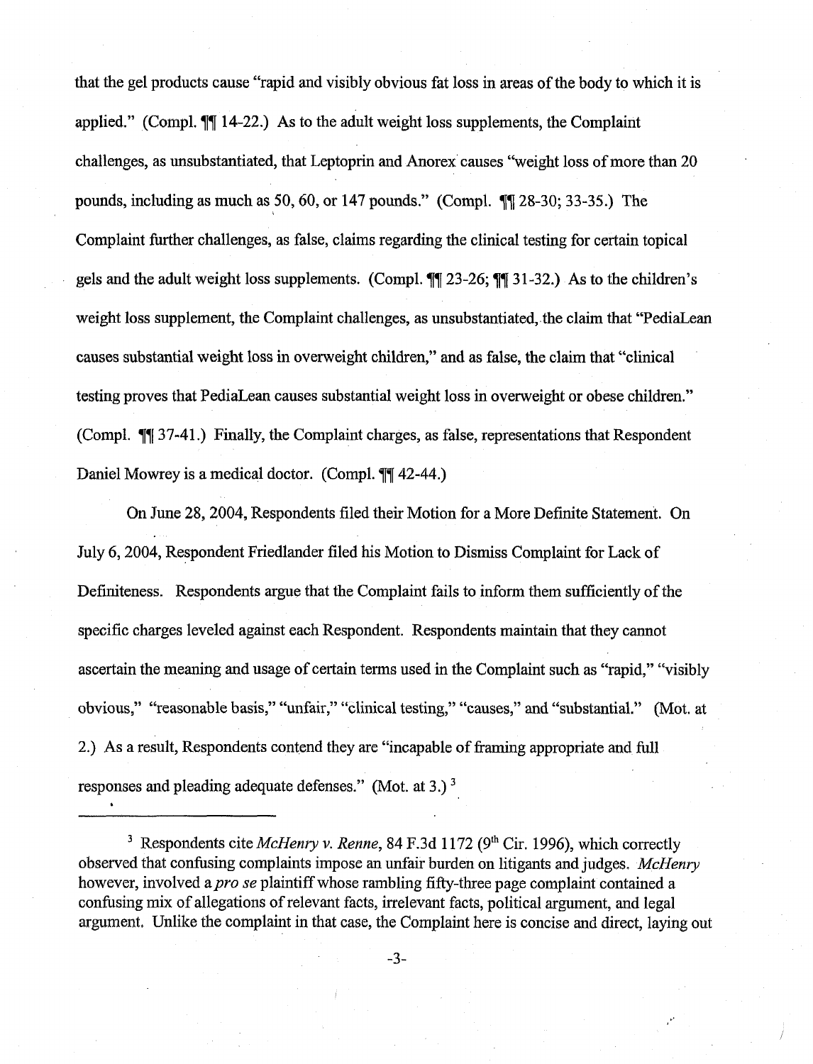that the gel products cause "rapid and visibly obvious fat loss in areas of the body to which it is applied." (Compl.  $\P$ [ 14-22.) As to the adult weight loss supplements, the Complaint challenges, as unsubstantiated, that Leptoprin and Anorex causes "weight loss of more than 20 pounds, including as mnuch as 50,6O, or 147 pounds." (Compl. **71** 28-30; 33-35.) The Complaint further challenges, as false, claims regarding the clinical testing for certain topical gels and the adult weight loss supplements. (Compl. *77* 23-26; **77 3** 1-32.) As to the children's weight loss supplement, the Complaint challenges, as unsubstantiated, the claim that "PediaLean causes substantial weight loss in overweight children," and as false, the claim that "'clinical testing proves that PediaLean causes substantial weight loss in overweight or obese children." (Compl. 37-41 .) Finally, the Complaint charges, as false, representations that Respondent Daniel Mowrey is a medical doctor. (Compl.  $\P\P$ 42-44.)

On June 28,2004, Respondents filed their Motion for a More Definite Statement. On July 6,2004, Respondent Friedlander filed his Motion to Dismiss Complaint for Lack of Definiteness. Respondents argue that the Complaint fails to inform them sufficiently of the specific charges leveled against each Respondent. Respondents maintain that they cannot ascertain the meaning **and** usage of certain terms used in the Complaint such as "rapid," "visibly obvious," "reasonable basis," "unfair," "clinical testing," "causes," and "substantial." (Mot. at 2.) As a result, Respondents contend they are "incapable of framing appropriate and full responses and pleading adequate defenses." (Mot. at 3.)<sup>3</sup>

Respondents cite *MeHenry* v. *Renne,* 84 F.3d 1 172 (9" Cir. 1996), which correctly observed that confusing complaints impose an unfair burden on litigants and judges. *McHenry* however, involved a *pro se* plaintiff whose rambling fifty-three page complaint contained a confusing mix of allegations of relevant facts, irrelevant facts, political argument, and legal argument. Unlike the complaint in that case, the Complaint here is concise and direct, laying out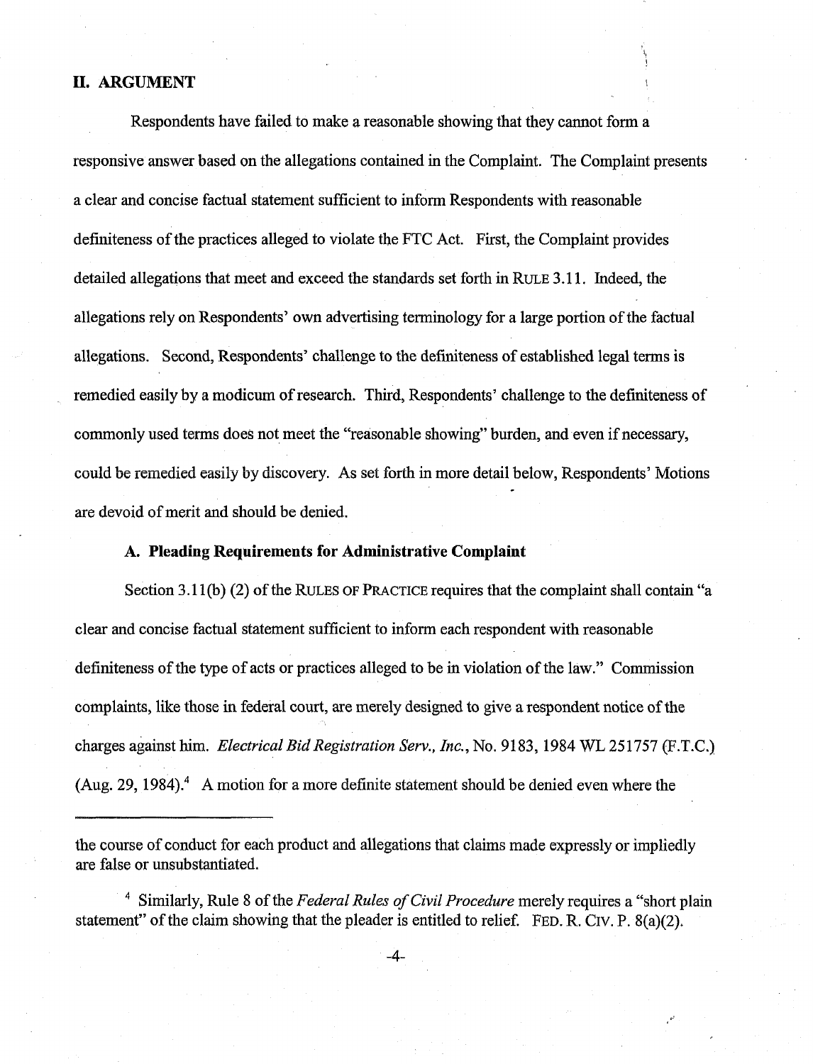#### **11. ARGUMENT**

Respondents have failed to make a reasonable showing that they cannot form a responsive answer based on the allegations contained in the Complaint. The Complaint presents a clear and concise factual statement sufficient to inform Respondents with reasonable definiteness of the practices alleged to violate the FTC Act. First, the Complaint provides detailed allegations that meet and exceed the standards set forth in RULE 3.1 1. Indeed, the allegations rely on Respondents' own advertising terminology for a large portion of the factual allegations. Second, Respondents' challenge to the definiteness of established legal terms is remedied easily by a modicum of research. Third, Respondents' challenge to the definiteness of commonly used terms does not meet the "reasonable showing" burden, and even if necessary, could be remedied easily by discovery. As set forth in more detail below, Respondents' Motions are devoid of merit and should be denied.

### **A. Pleading Requirements for Administrative Complaint**

Section 3.11(b) (2) of the RULES OF PRACTICE requires that the complaint shall contain "a clear and concise factual statement sufficient to inform each respondent with reasonable definiteness of the type of acts or practices alleged to be in violation of the law." Commission complaints, like those in federal court, are merely designed to give a respondent notice of the charges against him. Electrical Bid Registration *Sen.,* Inc., No. 9 1 83, 1984 WL 25 1757 (F.T.C.) (Aug. 29, 1984).<sup>4</sup> A motion for a more definite statement should be denied even where the

the course of conduct for each product and allegations that claims made expressly or impliedly are false or unsubstantiated.

<sup>&</sup>lt;sup>4</sup> Similarly, Rule 8 of the Federal Rules of Civil Procedure merely requires a "short plain statement" of the claim showing that the pleader is entitled to relief. FED. R. CIV. P. 8(a)(2),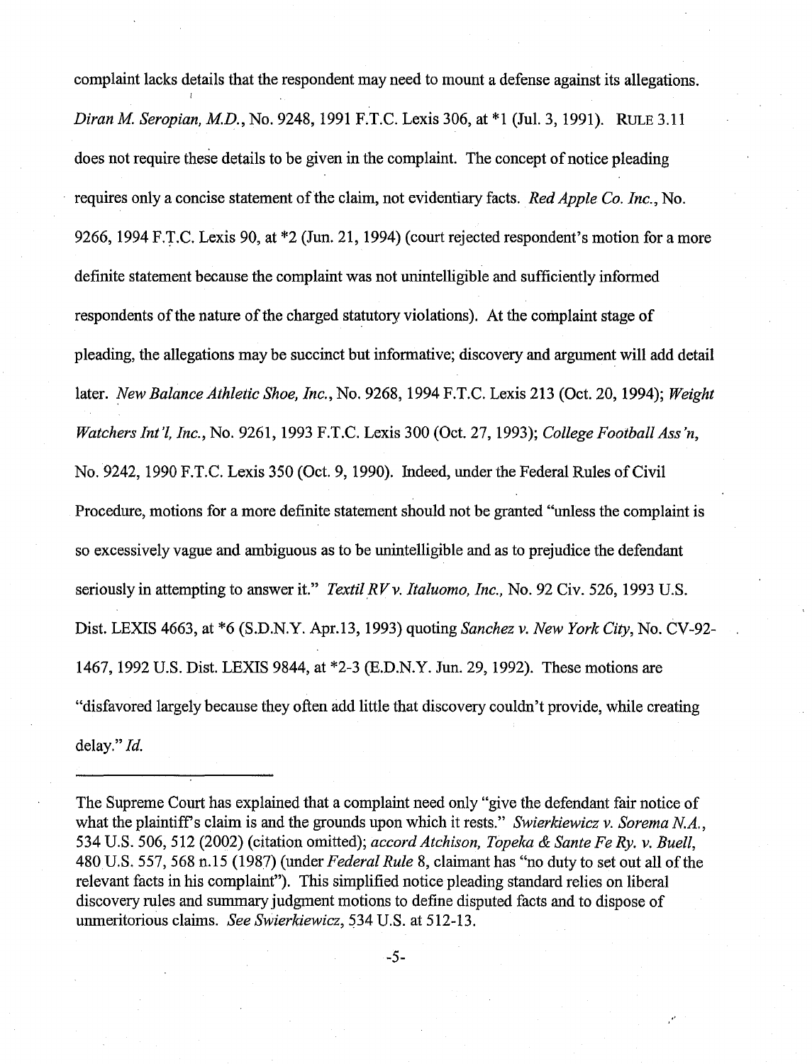complaint lacks details that the respondent may need to mount a defense against its allegations. *Diran M. Seropian, M.D.*, *No.* 9248, 1991 F.T.C. Lexis 306, at \*1 (Jul. 3, 1991). RULE 3.11 does not require these details to be given in the complaint. The concept of notice pleading requires only a concise statement of the claim, not evidentiary facts. *Red Apple Co. Inc.,* No. 9266, 1994 F.T.C. Lexis 90, at \*2 (Jun. 21, 1994) (court rejected respondent's motion for a more definite statement because the complaint was not unintelligible and sufficiently informed respondents of the nature of the charged statutory violations). At the complaint stage of pleading, the allegations may be succinct but informative; discovery and argument will add detail later. *New Balance Athletic Shoe, Inc.,* No. 9268, 1994 F.T.C. Lexis 213 (Oct. 20, 1994); *Weight Watchers Int'l, Inc.,* No. 9261, 1993 F.T.C. Lexis 300 (Oct. 27,1993); *College Football Ass'n,*  No. 9242, 1990 F.T.C. Lexis 350 (Oct. 9, 1990). Indeed, under the Federal Rules of Civil Procedure, motions for a more definite statement should not be granted "unless the complaint is so excessively vague and ambiguous as to be unintelligible and as to prejudice the defendant seriously in attempting to answer it." *Textil RV v. Italuomo, Inc.*, No. 92 Civ. 526, 1993 U.S. Dist. LEXIS 4663, at "6 (S.D.N.Y. Apr.13, 1993) quoting *Sanchez v. New York City,* No. CV-92- 1467, 1992 U.S. Dist. LEXIS 9844, at "2-3 (E.D.N.Y. Jun. 29, 1992). These motions are "disfavored largely because they often add little that discovery couldn't provide, while creating delay." *Id.* 

The Supreme Court has explained that a complaint need only "give the defendant fair notice of what the plaintiffs claim is and the grounds upon which it rests." *Swierkiewicz* v. *Sorema N.A.,*  534 U.S. 506, 512 (2002) (citation omitted); *accord Atchison, Topeka* & *Sante Fe Ry. v. Buell,*  480 U.S. 557,568 11.15 (1987) (under *Federal Rule* 8, claimant has "no duty to set out all of the relevant facts in his complaint"). This simplified notice pleading standard relies on liberal discovery rules and summary judgment motions to define disputed facts and to dispose of unmeritorious claims. *See Swierkiewicz*, 534 U.S. at 512-13.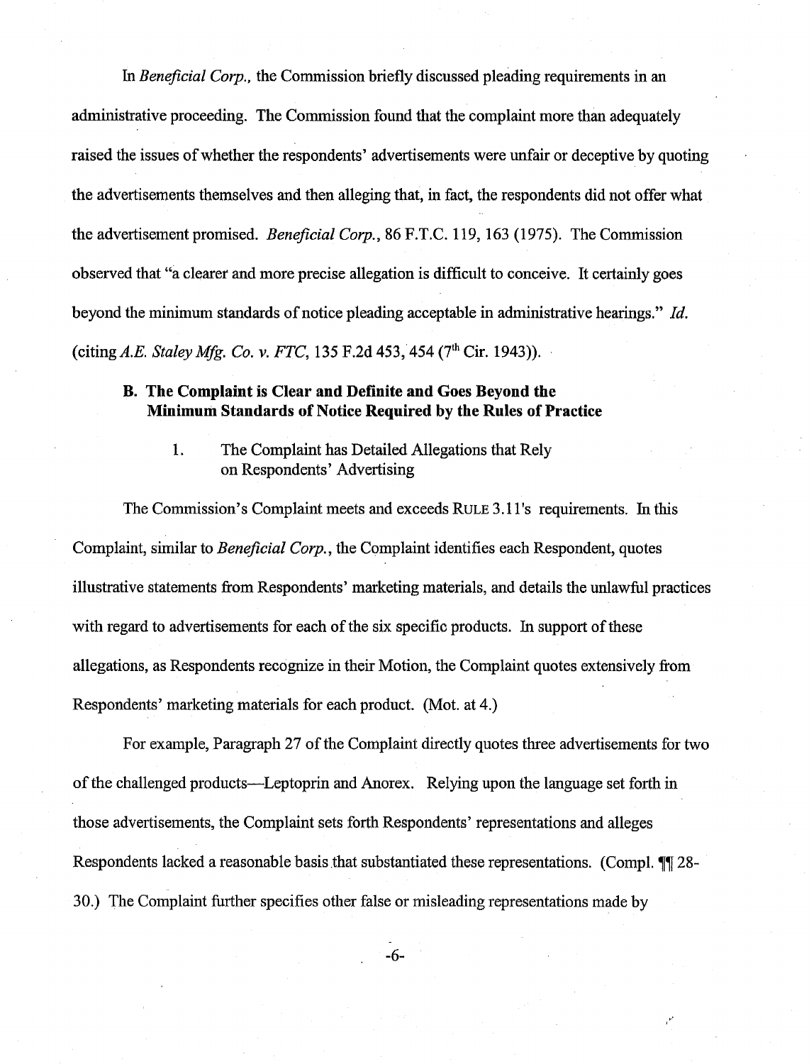*In Beneficial* Corp., the Commission briefly discussed pleading requirements in an administrative proceeding. The Commission found that the complaint more than adequately raised the issues of whether the respondents' advertisements were unfair or deceptive by quoting the advertisements themselves and then alleging that, in fact, the respondents did not offer what the advertisement promised. *Beneficial Corp.*, 86 F.T.C. 119, 163 (1975). The Commission observed that "a clearer and more precise allegation is difficult to conceive. It certainly goes beyond the minimum standards of notice pleading acceptable in administrative hearings." *Id.*  (citing *A.E. Staley* **Mfg.** Co. **v.** FTC, 135 F.2d 453,454 (7th Cir. 1943)).

## **B. The Complaint is Clear and Definite and Goes Beyond the Minimum Standards of Notice Required by the Rules of Practice**

1. The Complaint has Detailed Allegations that Rely on Respondents' Advertising

The Commission's Complaint meets and exceeds RULE 3.1 1's requirements. **In** this Complaint, similar to *Beneficial Corp.*, the Complaint identifies each Respondent, quotes illustrative statements fiom Respondents' marketing materials, and details the unlawful practices with regard to advertisements for each of the six specific products. In support of these allegations, as Respondents recognize in their Motion, the Complaint quotes extensively from Respondents' marketing materials for each product. (Mot. at 4.)

For example, Paragraph 27 of the Complaint directly quotes three advertisements for two of the challenged products-Leptoprin and Anorex. Relying upon the language set forth in those advertisements, the Complaint sets Forth Respondents' representations and alleges Respondents lacked a reasonable basis that substantiated these representations. (Compl. **77** 28-30.) The Complaint further specifies other false or misleading representations made by

 $-6-$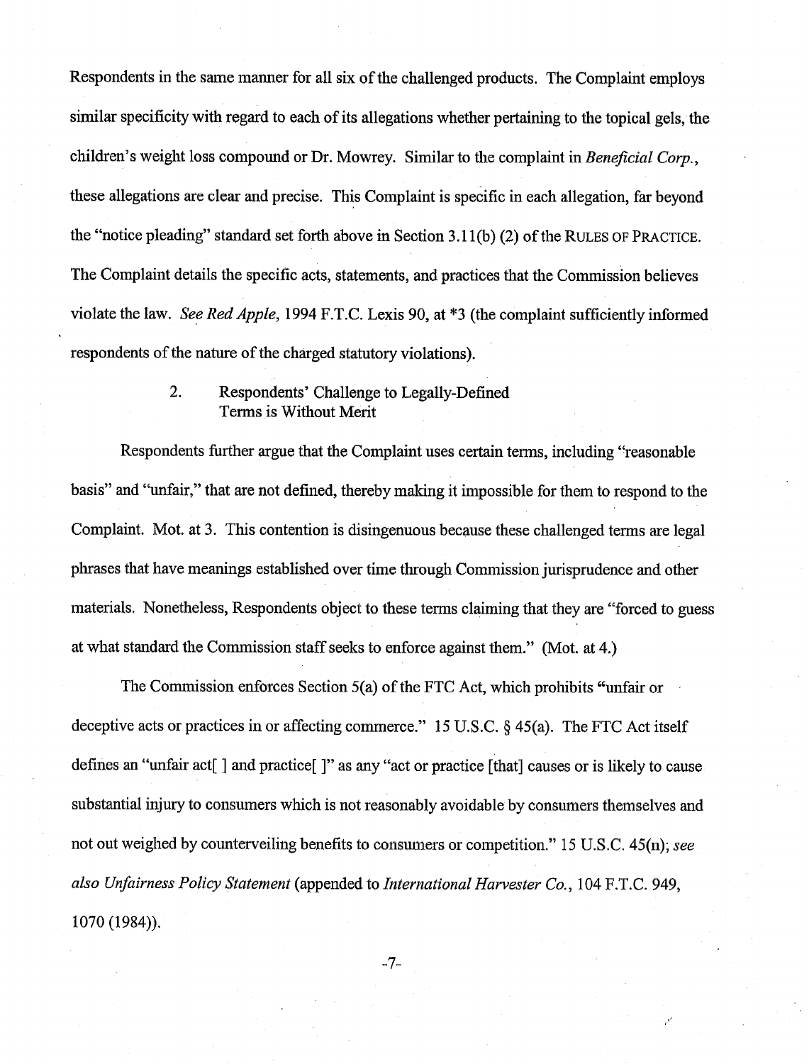Respondents in the same manner for all six of the challenged products. The Complaint employs similar specificity with regard to each of its allegations whether pertaining to the topical gels, the children's weight loss compound or Dr. Mowrey. Similar to the complaint in Beneficial Corp., these allegations are clear and precise. This Complaint is specific in each allegation, far beyond the "notice pleading" standard set forth above in Section 3.1 l(b) (2) of the RULES OF PRACTICE. The Complaint details the specific acts, statements, and practices that the Commission believes violate the law. See Red *Apple,* 1994 F.T.C. Lexis 90, at **\*3** (the complaint sufficiently informed respondents of the nature of the charged statutory violations).

## 2. Respondents' Challenge to Legally-Defined Terms is Without Merit

Respondents further argue that the Complaint uses certain terms, including "reasonable basis" and "unfair," that are not defined, thereby making it impossible for them to respond to the Complaint. Mot. at **3.** This contention is disingenuous because these challenged terms are legal phrases that have meanings established over time through Commission jurisprudence and other materials. Nonetheless, Respondents object to these terms claiming that they are "forced to guess at what standard the Commission staff seeks to enforce against them." (Mot. at 4.)

The Commission enforces Section 5(a) of the FTC Act, which prohibits ('unfair or deceptive acts or practices in or affecting commerce." 15 U.S.C.  $\delta$  45(a). The FTC Act itself defines an "unfair act<sup>[</sup>] and practice<sup>[]</sup>" as any "act or practice [that] causes or is likely to cause substantial injury to consumers which is not reasonably avoidable by consumers themselves and not out weighed by counterveiling benefits to consumers or competition." 15 U.S.C. 45(n); see also Unfairness *Policy* Statement (appended to International Hawester *Co.,* 104 F.T.C. 949, 1070 (1984)).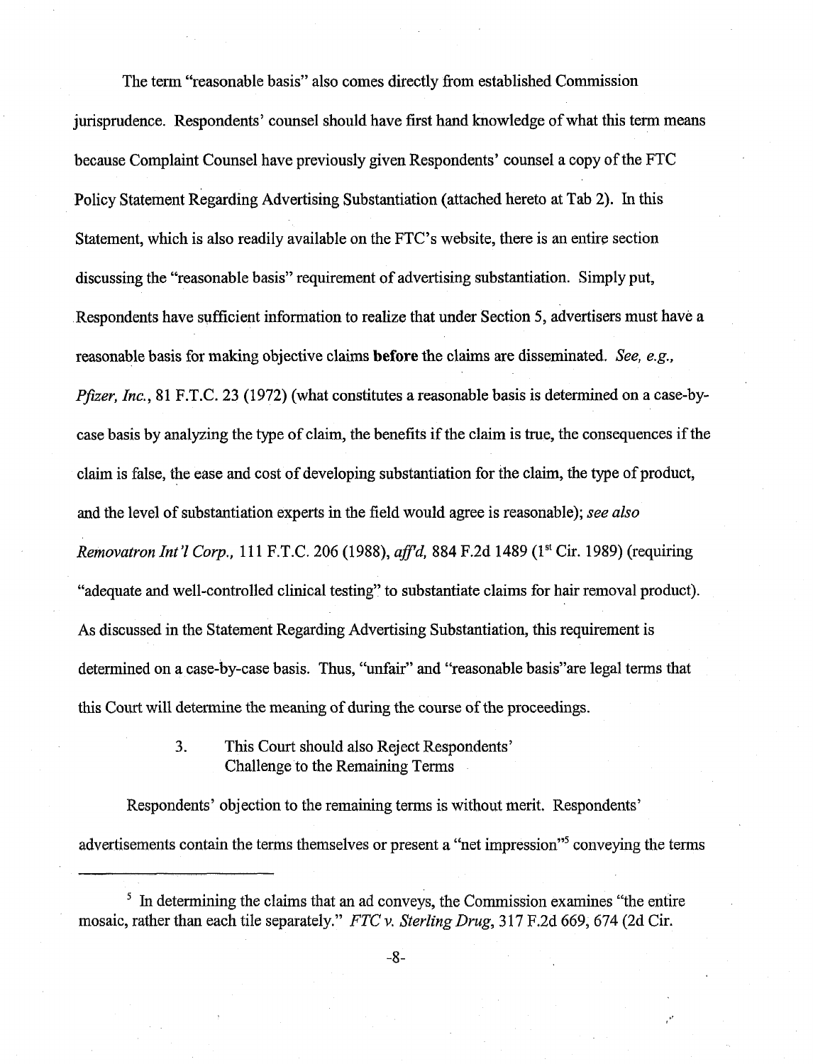The term "reasonable basis" also comes directly from established Commission jurisprudence. Respondents' counsel should have first hand knowledge of what this tern means because Complaint Counsel have previously given Respondents' counsel a copy of the FTC Policy Statement Regarding Advertising Substantiation (attached hereto at Tab 2). In this Statement, which is also readily available on the FTC's website, there is an entire section discussing the "reasonable basis" requirement of advertising substantiation. Simply put, Respondents have sufficient information to realize that under Section *5,* advertisers must have a reasonable basis for making objective claims **before** the claims are disseminated. *See, e.g., Pfizer, Inc.*, 81 F.T.C. 23 (1972) (what constitutes a reasonable basis is determined on a case-bycase basis by analyzing the type of claim, the benefits if the claim is true, the consequences if the claim is false, the ease and cost of developing substantiation for the claim, the type of product, and the level of substantiation experts in the field would agree is reasonable); see *also Removatron Int'l Corp.,* 111 F.T.C. 206 (1988), *aff'd*, 884 F.2d 1489 (1<sup>st</sup> Cir. 1989) (requiring "adequate and well-controlled clinical testing" to substantiate claims for hair removal product). As discussed in the Statement Regarding Advertising Substantiation, this requirement is determined on a case-by-case basis. Thus, "unfair" and "reasonable basis" are legal terms that this Court will determine the meaning of during the course of the proceedings.

## 3. This Court should also Reject Respondents' Challenge to the Remaining Terms

Respondents' objection to the remaining terms is without merit, Respondents' advertisements contain the terms themselves or present a "net impression"<sup>5</sup> conveying the terms

 $\frac{1}{2}$  In determining the claims that an ad conveys, the Commission examines "the entire mosaic, rather than each tile separately." *FTC v. Sterling Drug,* **3** *17* F,2d 669, G74 (2d Cir.

 $-8-$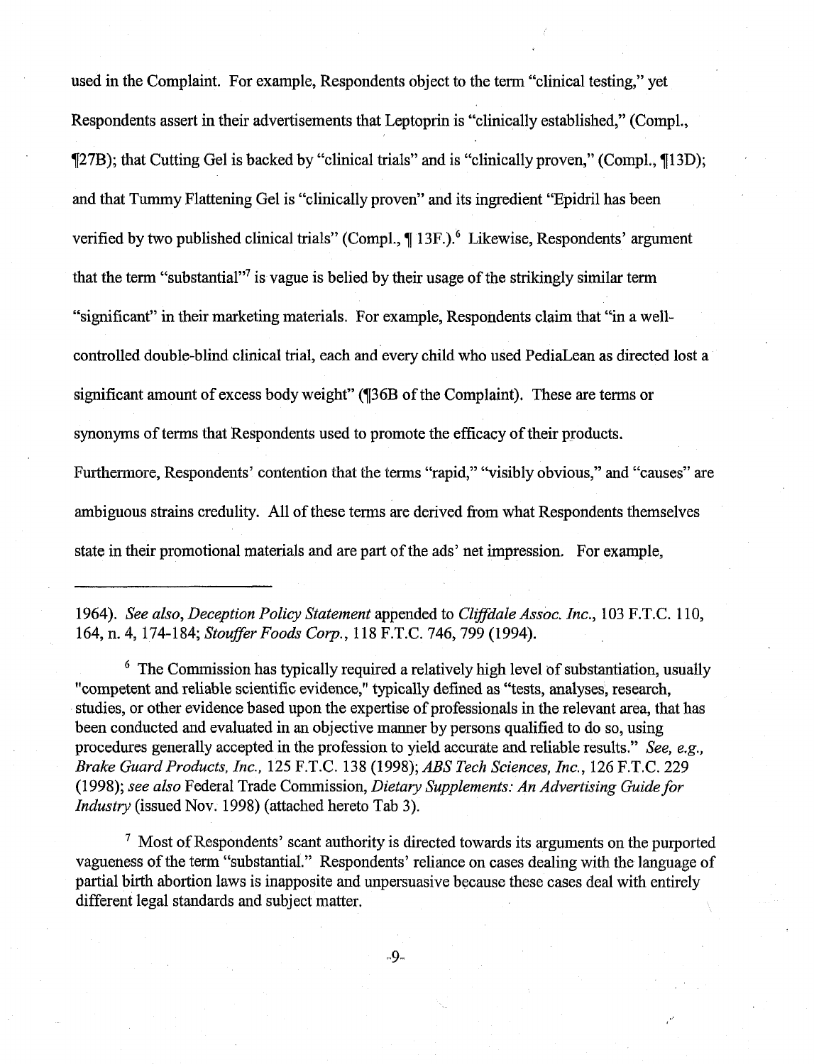used in the Complaint. For example, Respondents object to the term "clinical testing," yet Respondents assert in their advertisements that Leptoprin is "clinically established," (Compl., 727B); that Cutting Gel is backed by "clinical trials" and is "clinically proven," (Comnpl., 713D); and that Tummy Flattening Gel is "clinically proven" and its ingredient "Epidril has been verified by two published clinical trials" (Compl.,  $\P$  13F.).<sup>6</sup> Likewise, Respondents' argument that the term "substantial"<sup>7</sup> is vague is belied by their usage of the strikingly similar term "significant" in their marketing materials. For example, Respondents claim that "in a wellcontrolled double-blind clinical trial, each and every child who used PediaLean as directed lost a significant amount of excess body weight" (136B of the Complaint). These are terms or synonyms of terms that Respondents used to promote the efficacy of their products. Furthermore, Respondents' contention that the terms "rapid," "visibly obvious," and "causes" are ambiguous strains credulity. All of these terms are derived from what Respondents themselves state in their promotional materials and are part of the ads' net impression. For example,

1964). See also, Deception Policy Statement appended to Clifldale Assoc. Inc., 103 F.T.C. 110, 164, n. 4, 174-184; Stouffer Foods Corp., 118 F.T.C. 746, 799 (1994).

 $6$  The Commission has typically required a relatively high level of substantiation, usually "competent md reliable scientific evidence," typically defined as "tests, analyses, research, studies, or other evidence based upon the expertise of professionals in the relevant area, that has been conducted and evaluated in **an** objective manner by persons qualified to do so, using procedures generally accepted in the profession to yield accurate and reliable results." See, e.g., Brake Guard Products, Inc., 125 F.T.C. 138 (1998); ABS Tech Sciences, Inc., 126 F.T.C. 229 (1998); see also Federal Trade Commission, Dietary Supplements: An Advertising Guide for Industry (issued Nov. 1998) (attached hereto Tab 3).

 $\frac{7}{1}$  Most of Respondents' scant authority is directed towards its arguments on the purported vagueness of the term "substantial." Respondents' reliance on cases dealing with the language of partial birth abortion laws is inapposite and unpersuasive because these cases deal with entirely different legal standards and subject matter.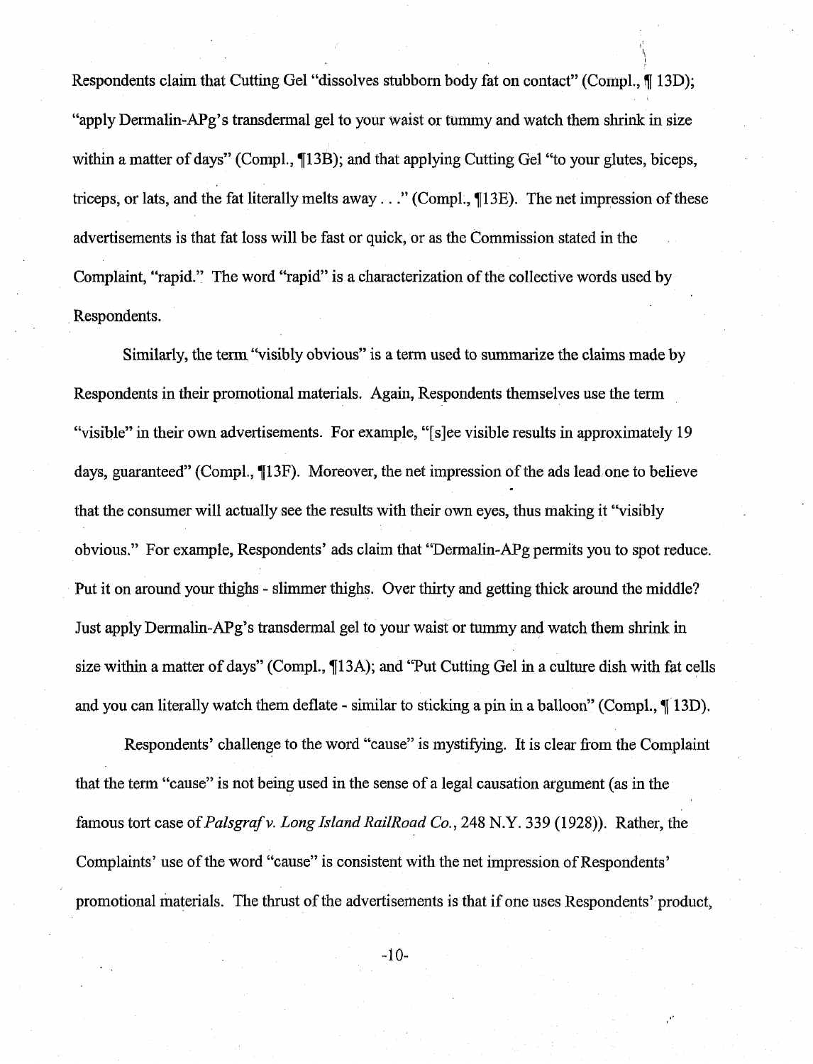Respondents claim that Cutting Gel "dissolves stubborn body fat on contact" (Compl., fj 13D); "apply Dermalin-APg's transdermal gel to your waist or tummy and watch them shrink **in** size within a matter of days" (Compl.,  $\P$ 13B); and that applying Cutting Gel "to your glutes, biceps, triceps, or lats, and the fat literally melts away . . ." (Compl., 713E). The net impression of these advertisements is that fat loss will be fast or quick, or as the Commission stated in the Complaint, "rapid." The word "rapid" is a characterization of the collective words used by Respondents.

Similarly, the tern "visibly obvious" is a term used to summarize the claims made by Respondents in their promotional materials. Again, Respondents themselves use the tern "visible" in their own advertisements. For example, "[s]ee visible results in approximately 19 days, guaranteed" (Compl., 113F). Moreover, the net impression of the ads lead one to believe that the consumer will actually see the results with their own eyes, thus making it "visibly obvious." For example, Respondents' ads claim that "Dermalin-APg permits you to spot reduce. Put it on around your thighs - slimmer thighs. Over thirty and getting thick around the middle? Just apply Dermalin-APg's transdermal gel to your waist or tummy and watch them shrink in size within a matter of days" (Compl., ¶13A); and "Put Cutting Gel in a culture dish with fat cells and you can literally watch them deflate - similar to sticking a pin in a balloon" (Compl., ¶ 13D).

Respondents' challenge to the word "cause" is mystifying. It is clear from the Complaint that the term "cause" is not being used in the sense of a legal causation argument (as in the famous tort case of *Palsgrafv.* Long *Island RailRoad Co., 248 N.Y.* 339 (1928)). Rather, the Complaints' use of the word "cause" is consistent with the net impression of Respondents' promotional materials. The thrust of the advertisements is that if one uses Respondents' product,

 $-10-$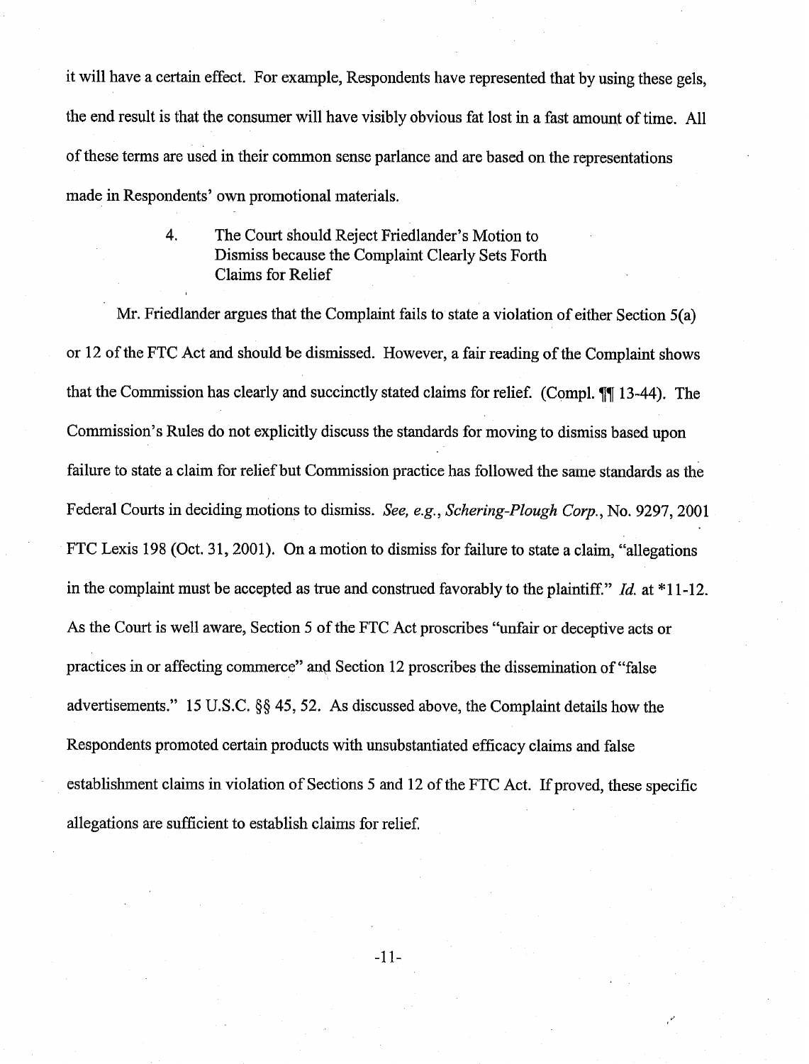it will have a certain effect. For example, Respondents have represented that by using these gels, the end result is that the consumer will have visibly obvious fat lost in a fast amount of time. All of these terms are used in their common sense parlance and are based on the representations made in Respondents' own promotional materials.

> 4. The Court should Reject Friedlander's Motion to Dismiss because the Complaint Clearly Sets Forth Claims for Relief

Mr. Friedlander argues that the Complaint fails to state a violation of either Section 5(a) or 12 of the FTC Act and should be dismissed. However, a fair reading of the Complaint shows that the Commission has clearly and succinctly stated claims for relief. (Compl. **77** 13-44). The Commission's Rules do not explicitly discuss the standards for moving to dismiss based upon failure to state a claim for relief but Commission practice has followed the same standards as the Federal Courts in deciding motions to dismiss. See, e.g., Schering-Plough Corp., No. 9297,2001 FTC Lexis 198 (Oct. 31, 2001). On a motion to dismiss for failure to state a claim, "allegations" in the complaint must be accepted as true and construed favorably to the plaintiff." Id. at  $*11$ -12. As the Cowt is well aware, Section 5 of the FTC Act proscribes "unfair or deceptive acts or practices in or affecting commerce" and Section 12 proscribes the dissemination of "false" advertisements." 15 U.S.C. *\$5* 45,52. As discussed above, the Complaint details how the Respondents promoted certain products with unsubstantiated efficacy claims and false establishment claims in violation of Sections 5 and 12 of the FTC Act. If proved, these specific allegations are sufficient to establish claims for relief.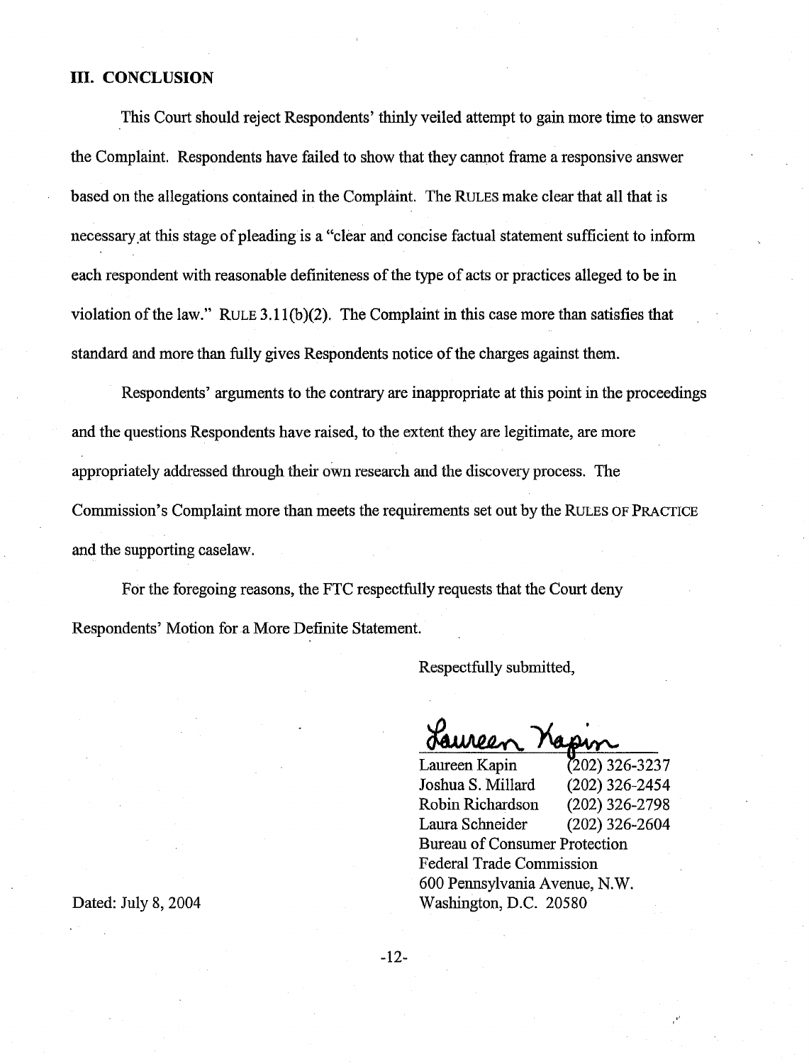#### **111. CONCLUSION**

This Court should reject Respondents' thinly veiled attempt to gain more time to answer the Complaint. Respondents have failed to show that they cannot frame a responsive answer based on the allegations contained in the Complaint. The RULES make clear that all that is necessary at this stage of pleading is a "clear and concise factual statement sufficient to inform each respondent with reasonable definiteness of the type of acts or practices alleged to be in violation of the law." RULE **3.11(b)(2).** The Complaint in this case more than satisfies that standard and more than fully gives Respondents notice of the charges against them.

Respondents' arguments to the contrary are inappropriate at this point in the proceedings and the questions Respondents have raised, to the extent they are legitimate, are more appropriately addressed through their own research and the discovery process. The Commission's Complaint more than meets the requirements set out by the RULES OF PRACTICE and the supporting caselaw.

For the foregoing reasons, the FTC respectfully requests that the Court deny Respondents' Motion for a More Definite Statement.

Respectfully submitted,

Laureen Kapin **r202) 326-3237**  Joshua S. Millard **(202) 326-2454**  Robin Richardson **(202) 326-2798**  Laura Schneider **(202) 326-2604**  Bureau of Consumer Protection Federal Trade Commission **600** Pennsylvania Avenue, N.W. Washington, D.C. **20580** 

Dated: July **8,2004** 

 $-12-$